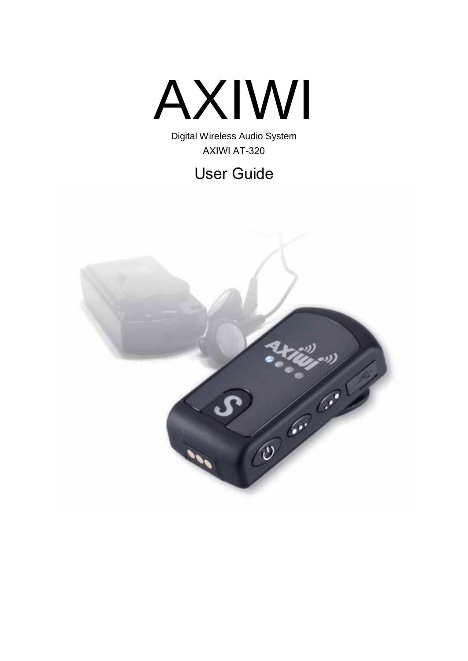

Digital Wireless Audio System AXIWI AT-320

User Guide

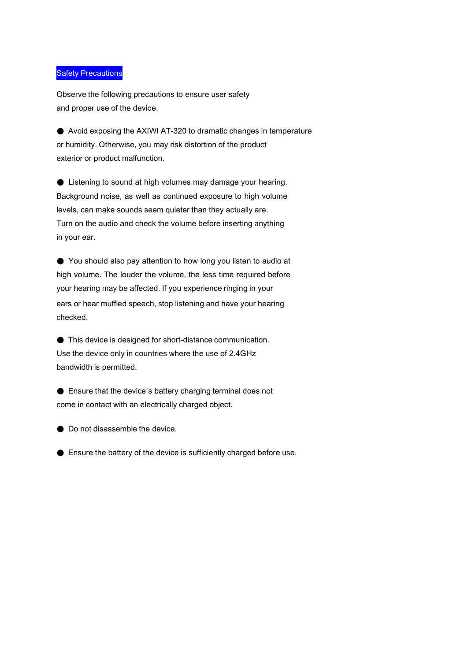#### **Safety Precautions**

Observe the following precautions to ensure user safety and proper use of the device.

● Avoid exposing the AXIWI AT-320 to dramatic changes in temperature or humidity. Otherwise, you may risk distortion of the product exterior or product malfunction.

● Listening to sound at high volumes may damage your hearing. Background noise, as well as continued exposure to high volume levels, can make sounds seem quieter than they actually are. Turn on the audio and check the volume before inserting anything in your ear.

● You should also pay attention to how long you listen to audio at high volume. The louder the volume, the less time required before your hearing may be affected. If you experience ringing in your ears or hear muffled speech, stop listening and have your hearing checked.

● This device is designed for short-distance communication. Use the device only in countries where the use of 2.4GHz bandwidth is permitted.

● Ensure that the device's battery charging terminal does not come in contact with an electrically charged object.

● Do not disassemble the device.

● Ensure the battery of the device is sufficiently charged before use.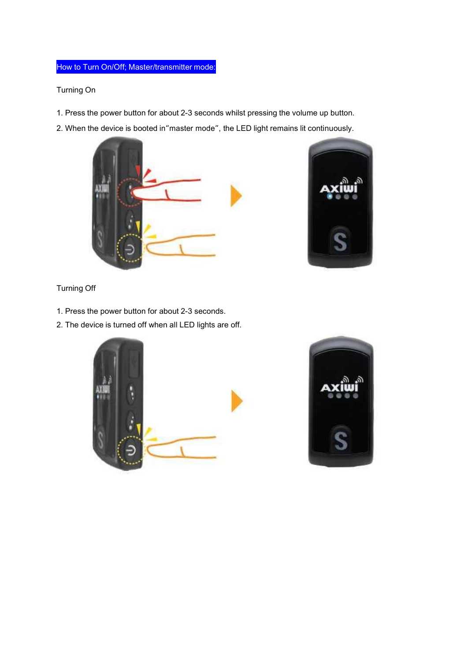### How to Turn On/Off; Master/transmitter mode:

#### Turning On

- 1. Press the power button for about 2-3 seconds whilst pressing the volume up button.
- 2. When the device is booted in"master mode", the LED light remains lit continuously.





Turning Off

- 1. Press the power button for about 2-3 seconds.
- 2. The device is turned off when all LED lights are off.



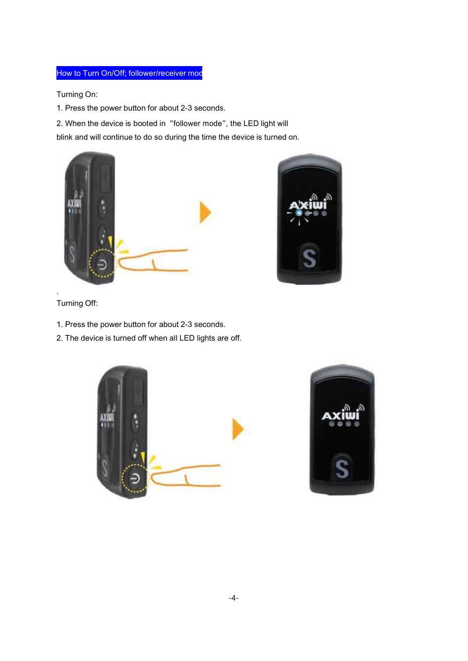### How to Turn On/Off; follower/receiver mod

Turning On:

1. Press the power button for about 2-3 seconds.

2. When the device is booted in "follower mode", the LED light will

blink and will continue to do so during the time the device is turned on.





Turning Off:

.

- 1. Press the power button for about 2-3 seconds.
- 2. The device is turned off when all LED lights are off.



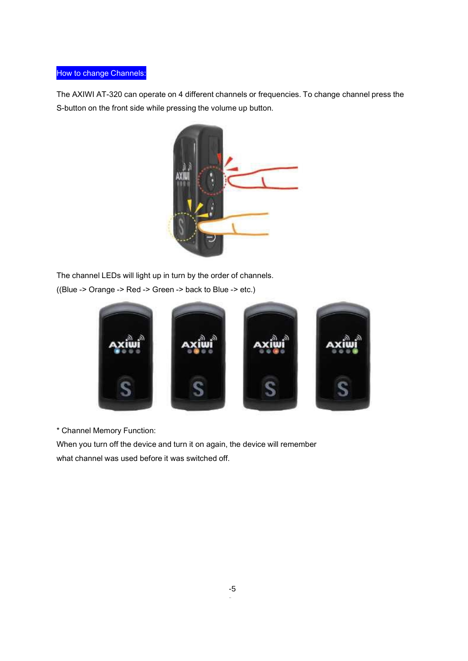### How to change Channels:

The AXIWI AT-320 can operate on 4 different channels or frequencies. To change channel press the S-button on the front side while pressing the volume up button.



The channel LEDs will light up in turn by the order of channels. ((Blue -> Orange -> Red -> Green -> back to Blue -> etc.)



\* Channel Memory Function:

When you turn off the device and turn it on again, the device will remember what channel was used before it was switched off.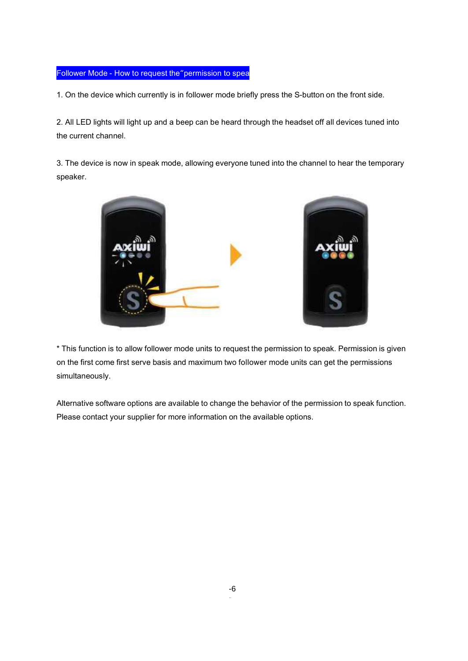#### Follower Mode - How to request the"permission to spea

1. On the device which currently is in follower mode briefly press the S-button on the front side.

2. All LED lights will light up and a beep can be heard through the headset off all devices tuned into the current channel.

3. The device is now in speak mode, allowing everyone tuned into the channel to hear the temporary speaker.



\* This function is to allow follower mode units to request the permission to speak. Permission is given on the first come first serve basis and maximum two follower mode units can get the permissions simultaneously.

Alternative software options are available to change the behavior of the permission to speak function. Please contact your supplier for more information on the available options.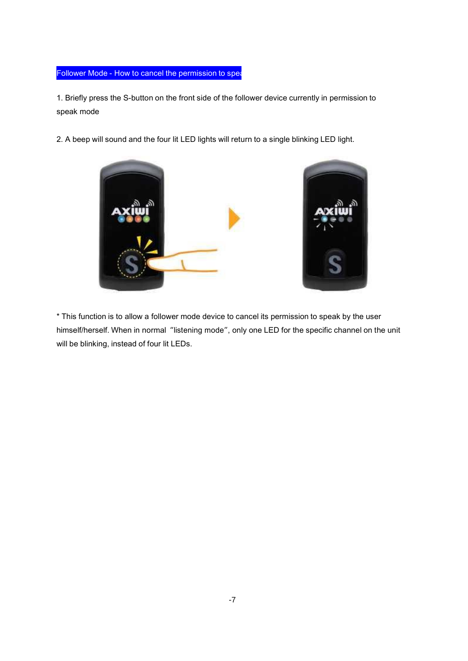### Follower Mode - How to cancel the permission to spea

1. Briefly press the S-button on the front side of the follower device currently in permission to speak mode

2. A beep will sound and the four lit LED lights will return to a single blinking LED light.



\* This function is to allow a follower mode device to cancel its permission to speak by the user himself/herself. When in normal "listening mode", only one LED for the specific channel on the unit will be blinking, instead of four lit LEDs.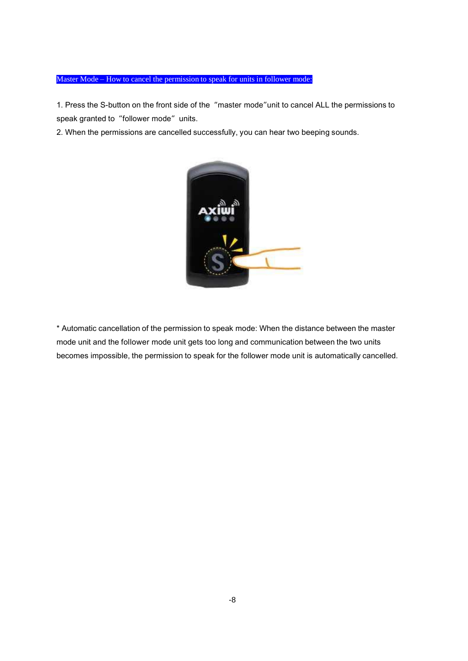### Master Mode – How to cancel the permission to speak for units in follower mode:

1. Press the S-button on the front side of the "master mode"unit to cancel ALL the permissions to speak granted to "follower mode" units.

2. When the permissions are cancelled successfully, you can hear two beeping sounds.



\* Automatic cancellation of the permission to speak mode: When the distance between the master mode unit and the follower mode unit gets too long and communication between the two units becomes impossible, the permission to speak for the follower mode unit is automatically cancelled.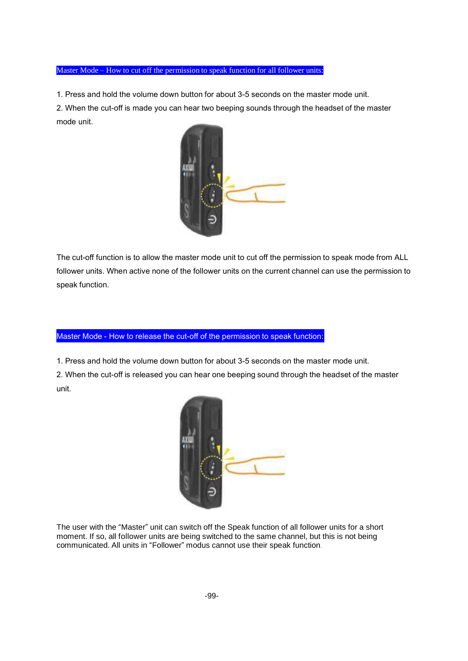#### Master Mode – How to cut off the permission to speak function for all follower units:

1. Press and hold the volume down button for about 3-5 seconds on the master mode unit.

2. When the cut-off is made you can hear two beeping sounds through the headset of the master mode unit.



The cut-off function is to allow the master mode unit to cut off the permission to speak mode from ALL follower units. When active none of the follower units on the current channel can use the permission to speak function.

#### Master Mode - How to release the cut-off of the permission to speak function:

1. Press and hold the volume down button for about 3-5 seconds on the master mode unit.

2. When the cut-off is released you can hear one beeping sound through the headset of the master unit.



The user with the "Master" unit can switch off the Speak function of all follower units for a short moment. If so, all follower units are being switched to the same channel, but this is not being communicated. All units in "Follower" modus cannot use their speak function.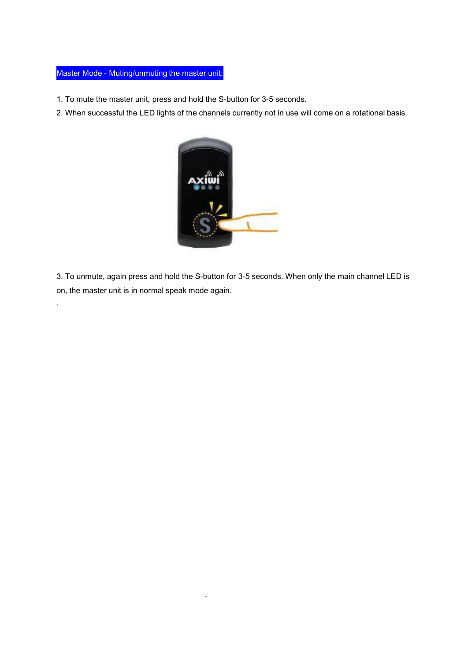### Master Mode - Muting/unmuting the master unit:

.

- 1. To mute the master unit, press and hold the S-button for 3-5 seconds.
- 2. When successful the LED lights of the channels currently not in use will come on a rotational basis.



3. To unmute, again press and hold the S-button for 3-5 seconds. When only the main channel LED is on, the master unit is in normal speak mode again.

-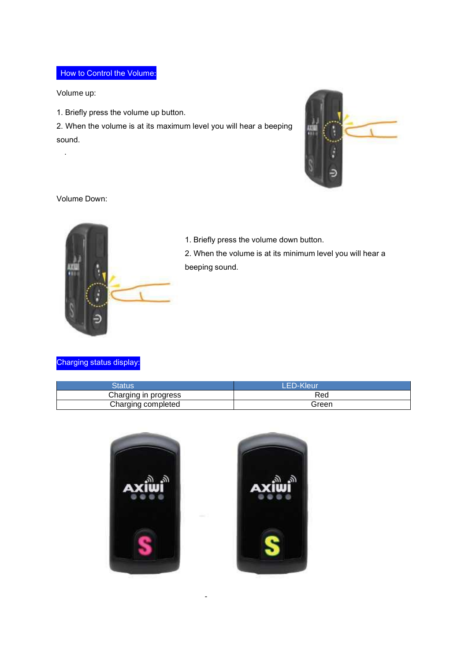# How to Control the Volume:

Volume up:

.

1. Briefly press the volume up button.

2. When the volume is at its maximum level you will hear a beeping sound.



Volume Down:



1. Briefly press the volume down button.

2. When the volume is at its minimum level you will hear a beeping sound.

### Charging status display:

| Status               | <b>LED-Kleur</b> |  |
|----------------------|------------------|--|
| Charging in progress | Red              |  |
| Charging completed   | Green            |  |



-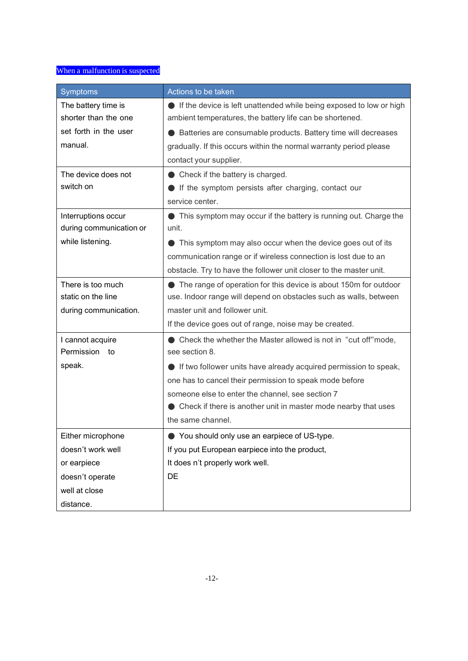## When a malfunction is suspected

| Symptoms                | Actions to be taken                                                 |  |  |  |
|-------------------------|---------------------------------------------------------------------|--|--|--|
| The battery time is     | If the device is left unattended while being exposed to low or high |  |  |  |
| shorter than the one    | ambient temperatures, the battery life can be shortened.            |  |  |  |
| set forth in the user   | Batteries are consumable products. Battery time will decreases      |  |  |  |
| manual.                 | gradually. If this occurs within the normal warranty period please  |  |  |  |
|                         | contact your supplier.                                              |  |  |  |
| The device does not     | $\bullet$ Check if the battery is charged.                          |  |  |  |
| switch on               | If the symptom persists after charging, contact our                 |  |  |  |
|                         | service center.                                                     |  |  |  |
| Interruptions occur     | This symptom may occur if the battery is running out. Charge the    |  |  |  |
| during communication or | unit.                                                               |  |  |  |
| while listening.        | This symptom may also occur when the device goes out of its         |  |  |  |
|                         | communication range or if wireless connection is lost due to an     |  |  |  |
|                         | obstacle. Try to have the follower unit closer to the master unit.  |  |  |  |
| There is too much       | • The range of operation for this device is about 150m for outdoor  |  |  |  |
| static on the line      | use. Indoor range will depend on obstacles such as walls, between   |  |  |  |
| during communication.   | master unit and follower unit.                                      |  |  |  |
|                         | If the device goes out of range, noise may be created.              |  |  |  |
| I cannot acquire        | Check the whether the Master allowed is not in "cut off"mode,       |  |  |  |
| Permission<br>to        | see section 8.                                                      |  |  |  |
| speak.                  | If two follower units have already acquired permission to speak,    |  |  |  |
|                         | one has to cancel their permission to speak mode before             |  |  |  |
|                         | someone else to enter the channel, see section 7                    |  |  |  |
|                         | Check if there is another unit in master mode nearby that uses      |  |  |  |
|                         | the same channel.                                                   |  |  |  |
| Either microphone       | ● You should only use an earpiece of US-type.                       |  |  |  |
| doesn't work well       | If you put European earpiece into the product,                      |  |  |  |
| or earpiece             | It does n't properly work well.                                     |  |  |  |
| doesn't operate         | DE                                                                  |  |  |  |
| well at close           |                                                                     |  |  |  |
| distance.               |                                                                     |  |  |  |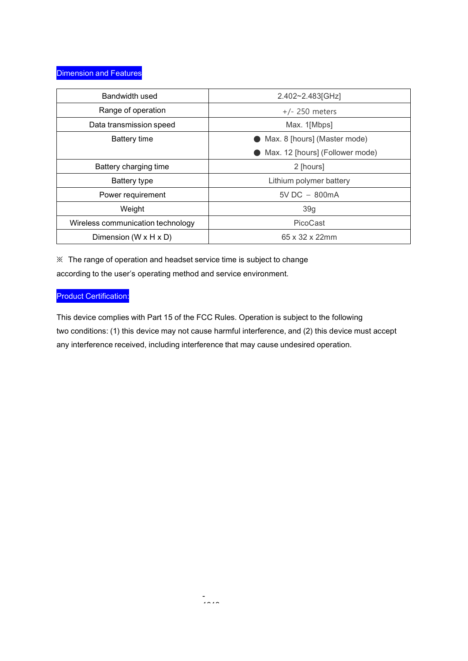| Bandwidth used                      | 2.402~2.483[GHz]                |  |  |
|-------------------------------------|---------------------------------|--|--|
| Range of operation                  | $+/- 250$ meters                |  |  |
| Data transmission speed             | Max. 1[Mbps]                    |  |  |
| Battery time                        | Max. 8 [hours] (Master mode)    |  |  |
|                                     | Max. 12 [hours] (Follower mode) |  |  |
| Battery charging time               | 2 [hours]                       |  |  |
| Battery type                        | Lithium polymer battery         |  |  |
| Power requirement                   | $5V$ DC $-$ 800mA               |  |  |
| Weight                              | 39g                             |  |  |
| Wireless communication technology   | PicoCast                        |  |  |
| Dimension (W $\times$ H $\times$ D) | $65 \times 32 \times 22$ mm     |  |  |

※ The range of operation and headset service time is subject to change according to the user's operating method and service environment.

### Product Certification:

This device complies with Part 15 of the FCC Rules. Operation is subject to the following two conditions: (1) this device may not cause harmful interference, and (2) this device must accept any interference received, including interference that may cause undesired operation.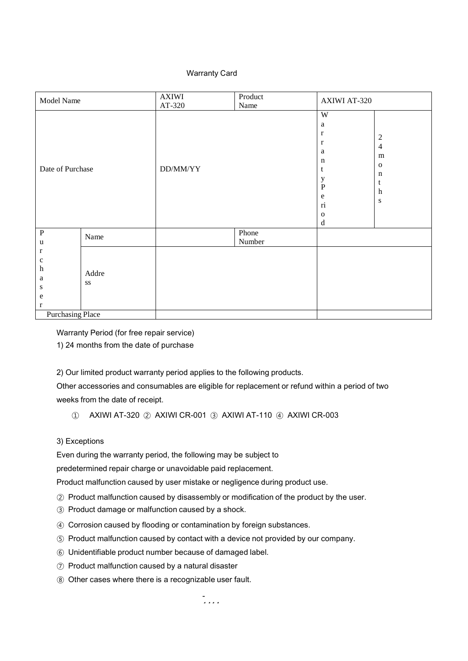#### Warranty Card

| Model Name                                                                                                                        | <b>AXIWI</b><br>AT-320 | Product<br>Name | <b>AXIWI AT-320</b>                                                                                                                           |                                                                                            |
|-----------------------------------------------------------------------------------------------------------------------------------|------------------------|-----------------|-----------------------------------------------------------------------------------------------------------------------------------------------|--------------------------------------------------------------------------------------------|
| Date of Purchase                                                                                                                  | DD/MM/YY               |                 | W<br>$\rm{a}$<br>$\bf r$<br>$\mathbf r$<br>$\rm{a}$<br>n<br>t<br>$\mathbf y$<br>$\mathbf P$<br>${\bf e}$<br>ri<br>$\mathbf{O}$<br>$\mathbf d$ | $\overline{c}$<br>$\overline{4}$<br>m<br>$\mathbf 0$<br>n<br>t<br>$\mathbf h$<br>${\bf S}$ |
| $\, {\bf P}$<br>Name<br>u                                                                                                         |                        | Phone<br>Number |                                                                                                                                               |                                                                                            |
| $\mathbf r$<br>$\mathbf c$<br>$\boldsymbol{\text{h}}$<br>Addre<br>a<br>SS<br>S<br>${\bf e}$<br>$\bf r$<br><b>Purchasing Place</b> |                        |                 |                                                                                                                                               |                                                                                            |

Warranty Period (for free repair service)

1) 24 months from the date of purchase

2) Our limited product warranty period applies to the following products.

Other accessories and consumables are eligible for replacement or refund within a period of two weeks from the date of receipt.

① AXIWI AT-320 ② AXIWI CR-001 ③ AXIWI AT-110 ④ AXIWI CR-003

#### 3) Exceptions

Even during the warranty period, the following may be subject to

predetermined repair charge or unavoidable paid replacement.

Product malfunction caused by user mistake or negligence during product use.

- ② Product malfunction caused by disassembly or modification of the product by the user.
- ③ Product damage or malfunction caused by a shock.
- ④ Corrosion caused by flooding or contamination by foreign substances.
- ⑤ Product malfunction caused by contact with a device not provided by our company.
- ⑥ Unidentifiable product number because of damaged label.
- ⑦ Product malfunction caused by a natural disaster
- ⑧ Other cases where there is a recognizable user fault.